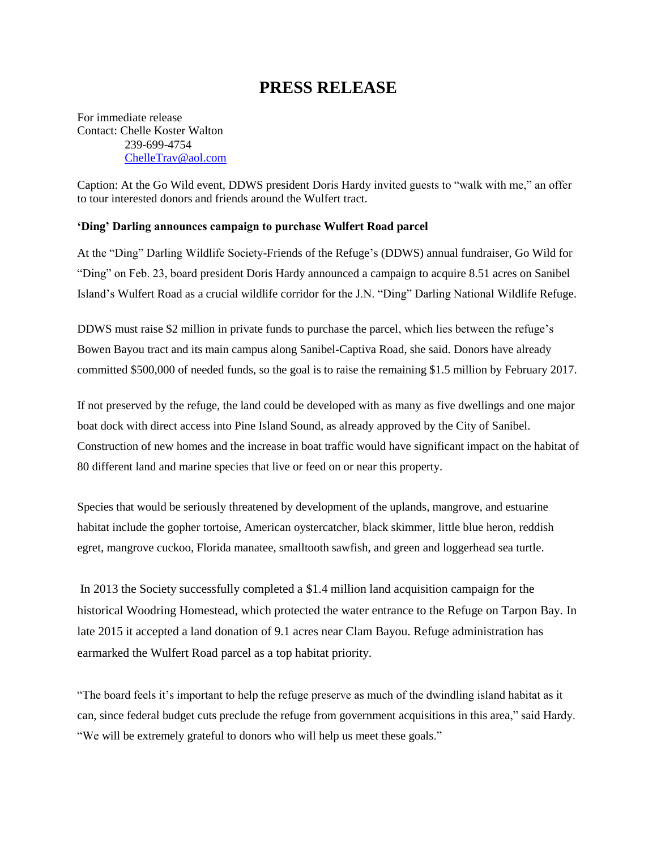## **PRESS RELEASE**

For immediate release Contact: Chelle Koster Walton 239-699-4754 [ChelleTrav@aol.com](mailto:ChelleTrav@aol.com)

Caption: At the Go Wild event, DDWS president Doris Hardy invited guests to "walk with me," an offer to tour interested donors and friends around the Wulfert tract.

## **'Ding' Darling announces campaign to purchase Wulfert Road parcel**

At the "Ding" Darling Wildlife Society-Friends of the Refuge's (DDWS) annual fundraiser, Go Wild for "Ding" on Feb. 23, board president Doris Hardy announced a campaign to acquire 8.51 acres on Sanibel Island's Wulfert Road as a crucial wildlife corridor for the J.N. "Ding" Darling National Wildlife Refuge.

DDWS must raise \$2 million in private funds to purchase the parcel, which lies between the refuge's Bowen Bayou tract and its main campus along Sanibel-Captiva Road, she said. Donors have already committed \$500,000 of needed funds, so the goal is to raise the remaining \$1.5 million by February 2017.

If not preserved by the refuge, the land could be developed with as many as five dwellings and one major boat dock with direct access into Pine Island Sound, as already approved by the City of Sanibel. Construction of new homes and the increase in boat traffic would have significant impact on the habitat of 80 different land and marine species that live or feed on or near this property.

Species that would be seriously threatened by development of the uplands, mangrove, and estuarine habitat include the gopher tortoise, American oystercatcher, black skimmer, little blue heron, reddish egret, mangrove cuckoo, Florida manatee, smalltooth sawfish, and green and loggerhead sea turtle.

In 2013 the Society successfully completed a \$1.4 million land acquisition campaign for the historical Woodring Homestead, which protected the water entrance to the Refuge on Tarpon Bay. In late 2015 it accepted a land donation of 9.1 acres near Clam Bayou. Refuge administration has earmarked the Wulfert Road parcel as a top habitat priority.

"The board feels it's important to help the refuge preserve as much of the dwindling island habitat as it can, since federal budget cuts preclude the refuge from government acquisitions in this area," said Hardy. "We will be extremely grateful to donors who will help us meet these goals."